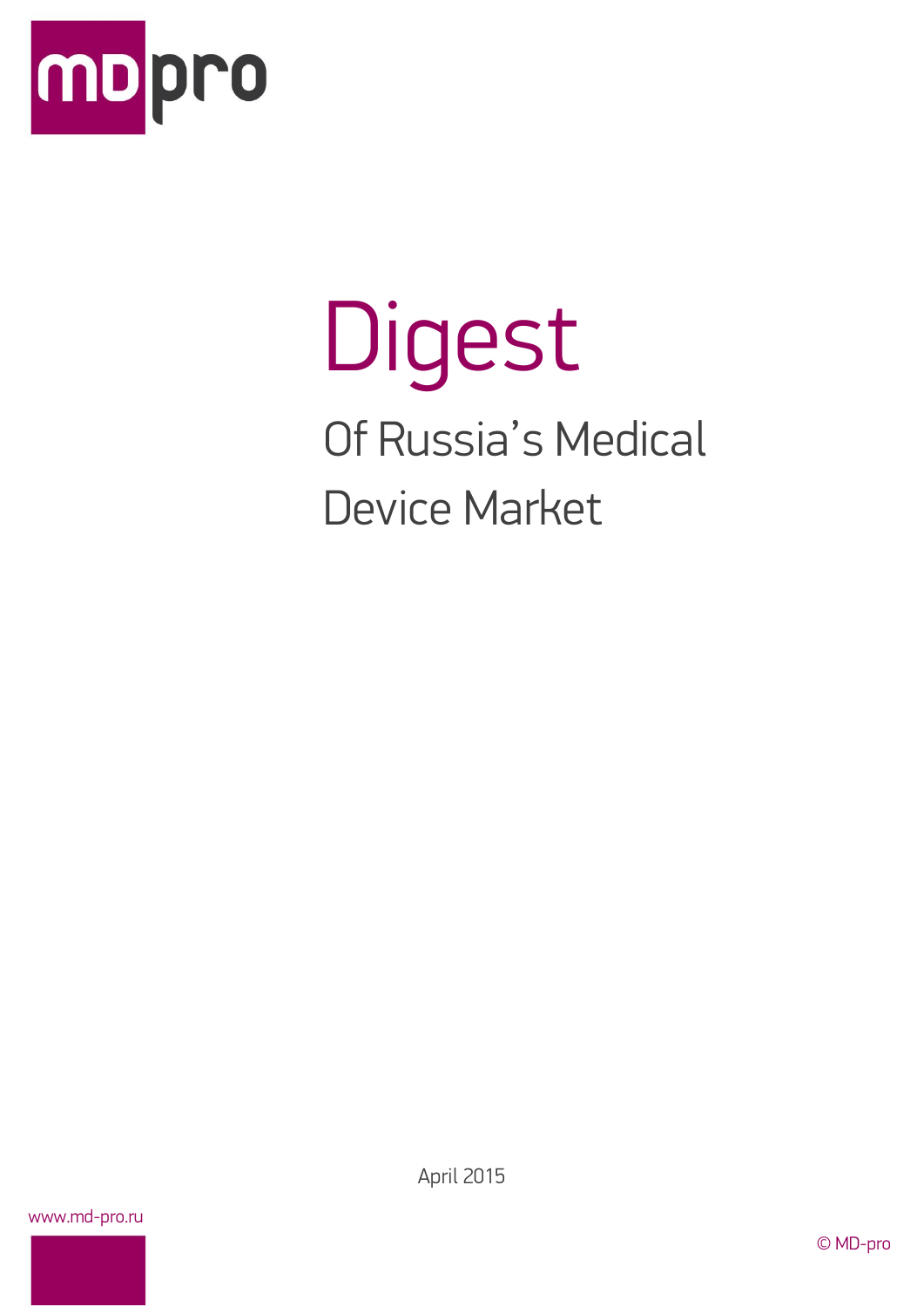

# Digest Of Russia's Medical Device Market

www.md-pro.ru

April 2015

© MD-pro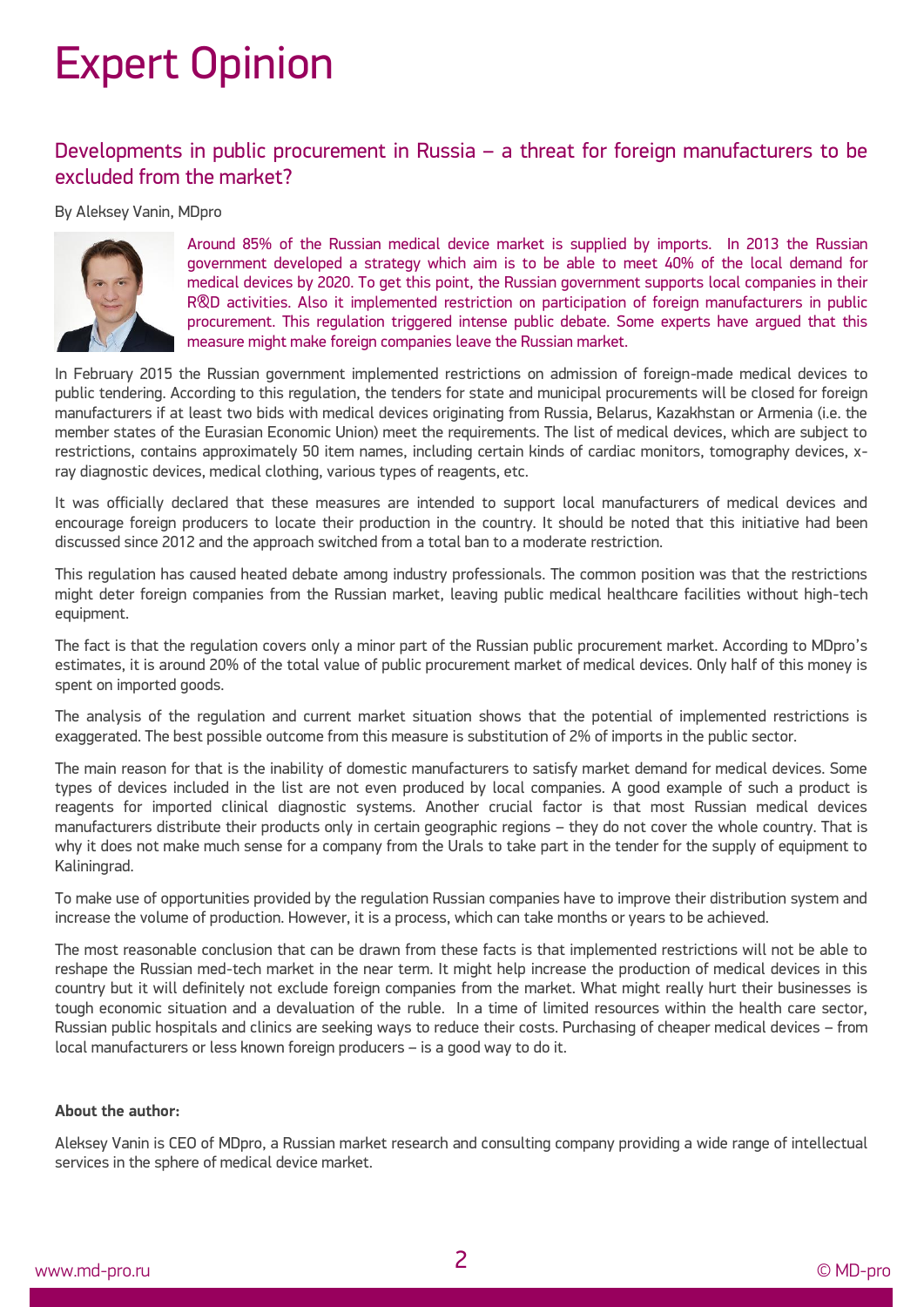# Expert Opinion

### Developments in public procurement in Russia – a threat for foreign manufacturers to be excluded from the market?

#### By Aleksey Vanin, MDpro



Around 85% of the Russian medical device market is supplied by imports. In 2013 the Russian government developed a strategy which aim is to be able to meet 40% of the local demand for medical devices by 2020. To get this point, the Russian government supports local companies in their R&D activities. Also it implemented restriction on participation of foreign manufacturers in public procurement. This regulation triggered intense public debate. Some experts have argued that this measure might make foreign companies leave the Russian market.

In February 2015 the Russian government implemented restrictions on admission of foreign-made medical devices to public tendering. According to this regulation, the tenders for state and municipal procurements will be closed for foreign manufacturers if at least two bids with medical devices originating from Russia, Belarus, Kazakhstan or Armenia (i.e. the member states of the Eurasian Economic Union) meet the requirements. The list of medical devices, which are subject to restrictions, contains approximately 50 item names, including certain kinds of cardiac monitors, tomography devices, xray diagnostic devices, medical clothing, various types of reagents, etc.

It was officially declared that these measures are intended to support local manufacturers of medical devices and encourage foreign producers to locate their production in the country. It should be noted that this initiative had been discussed since 2012 and the approach switched from a total ban to a moderate restriction.

This regulation has caused heated debate among industry professionals. The common position was that the restrictions might deter foreign companies from the Russian market, leaving public medical healthcare facilities without high-tech equipment.

The fact is that the regulation covers only a minor part of the Russian public procurement market. According to MDpro's estimates, it is around 20% of the total value of public procurement market of medical devices. Only half of this money is spent on imported goods.

The analysis of the regulation and current market situation shows that the potential of implemented restrictions is exaggerated. The best possible outcome from this measure is substitution of 2% of imports in the public sector.

The main reason for that is the inability of domestic manufacturers to satisfy market demand for medical devices. Some types of devices included in the list are not even produced by local companies. A good example of such a product is reagents for imported clinical diagnostic systems. Another crucial factor is that most Russian medical devices manufacturers distribute their products only in certain geographic regions – they do not cover the whole country. That is why it does not make much sense for a company from the Urals to take part in the tender for the supply of equipment to Kaliningrad.

To make use of opportunities provided by the regulation Russian companies have to improve their distribution system and increase the volume of production. However, it is a process, which can take months or years to be achieved.

The most reasonable conclusion that can be drawn from these facts is that implemented restrictions will not be able to reshape the Russian med-tech market in the near term. It might help increase the production of medical devices in this country but it will definitely not exclude foreign companies from the market. What might really hurt their businesses is tough economic situation and a devaluation of the ruble. In a time of limited resources within the health care sector, Russian public hospitals and clinics are seeking ways to reduce their costs. Purchasing of cheaper medical devices – from local manufacturers or less known foreign producers – is a good way to do it.

#### **About the author:**

Aleksey Vanin is CEO of [MDpro,](http://md-pro.ru/) a Russian market research and consulting company providing a wide range of intellectual services in the sphere of medical device market.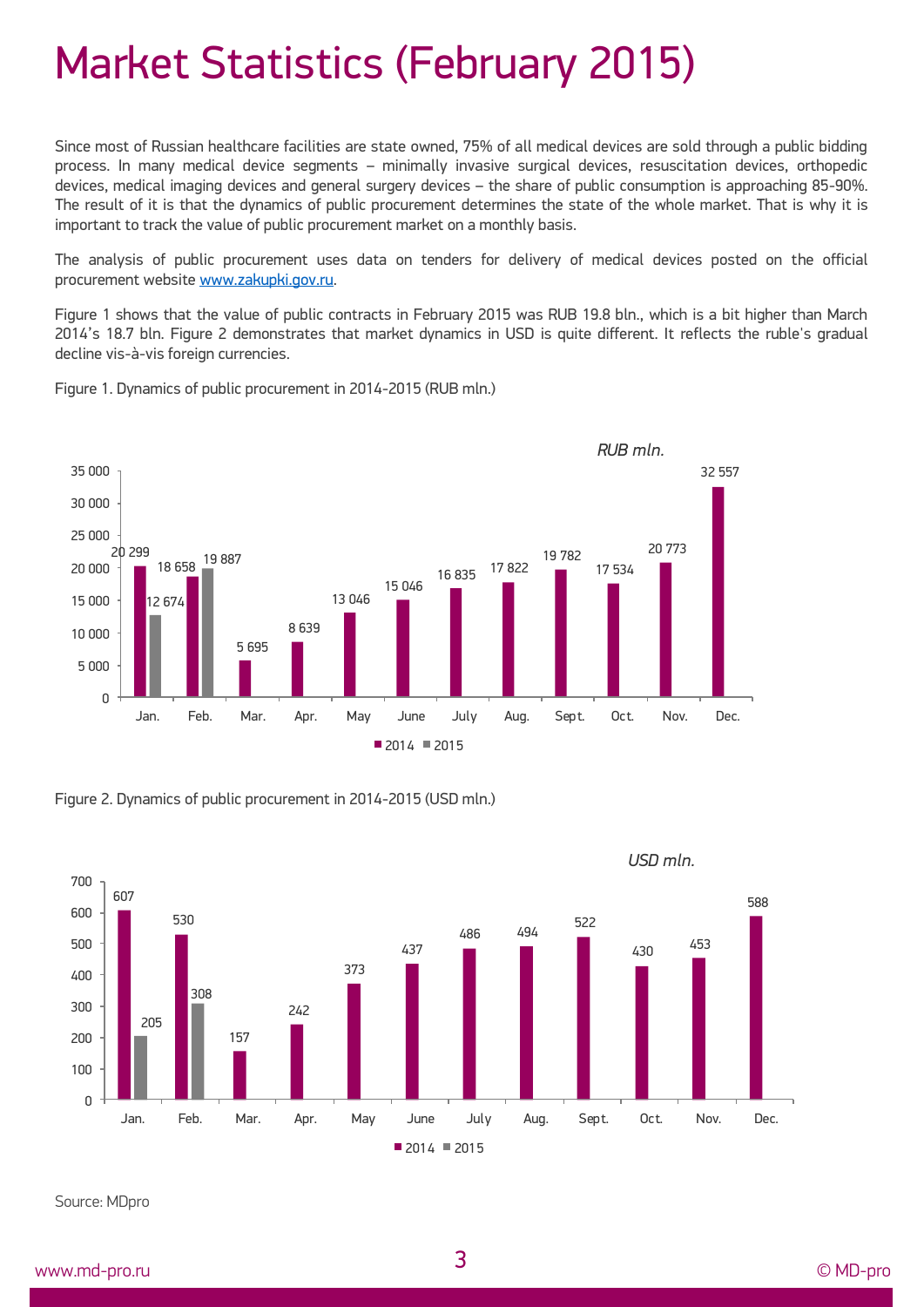### Market Statistics (February 2015)

Since most of Russian healthcare facilities are state owned, 75% of all medical devices are sold through a public bidding process. In many medical device segments – minimally invasive surgical devices, resuscitation devices, orthopedic devices, medical imaging devices and general surgery devices – the share of public consumption is approaching 85-90%. The result of it is that the dynamics of public procurement determines the state of the whole market. That is why it is important to track the value of public procurement market on a monthly basis.

The analysis of public procurement uses data on tenders for delivery of medical devices posted on the official procurement websit[e www.zakupki.gov.ru.](http://www.zakupki.gov.ru/)

Figure 1 shows that the value of public contracts in February 2015 was RUB 19.8 bln., which is a bit higher than March 2014's 18.7 bln. Figure 2 demonstrates that market dynamics in USD is quite different. It reflects the ruble's gradual decline vis-à-vis foreign currencies.

Figure 1. Dynamics of public procurement in 2014-2015 (RUB mln.)



Figure 2. Dynamics of public procurement in 2014-2015 (USD mln.)



Source: MDpro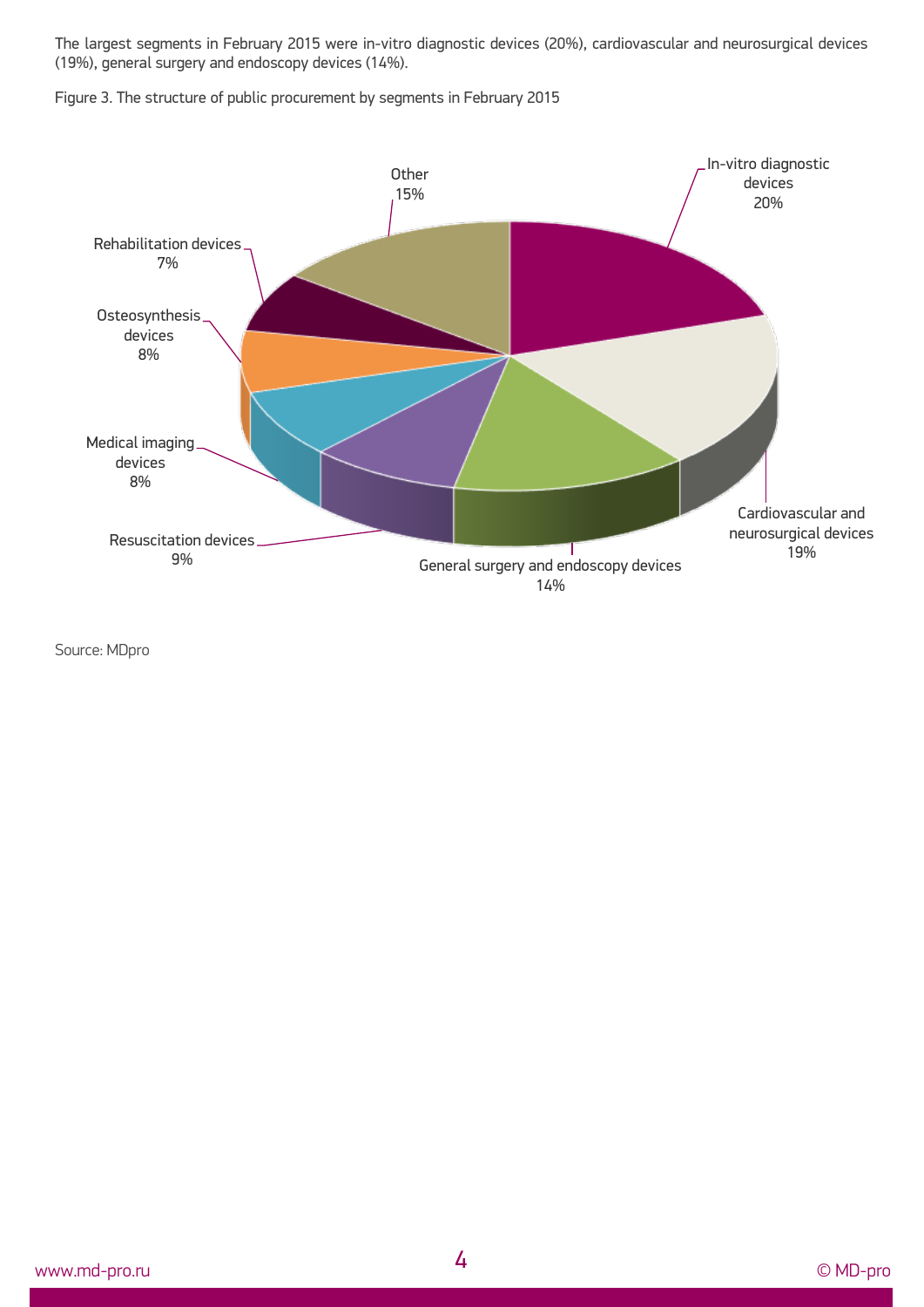The largest segments in February 2015 were in-vitro diagnostic devices (20%), cardiovascular and neurosurgical devices (19%), general surgery and endoscopy devices (14%).

Figure 3. The structure of public procurement by segments in February 2015



Source: MDpro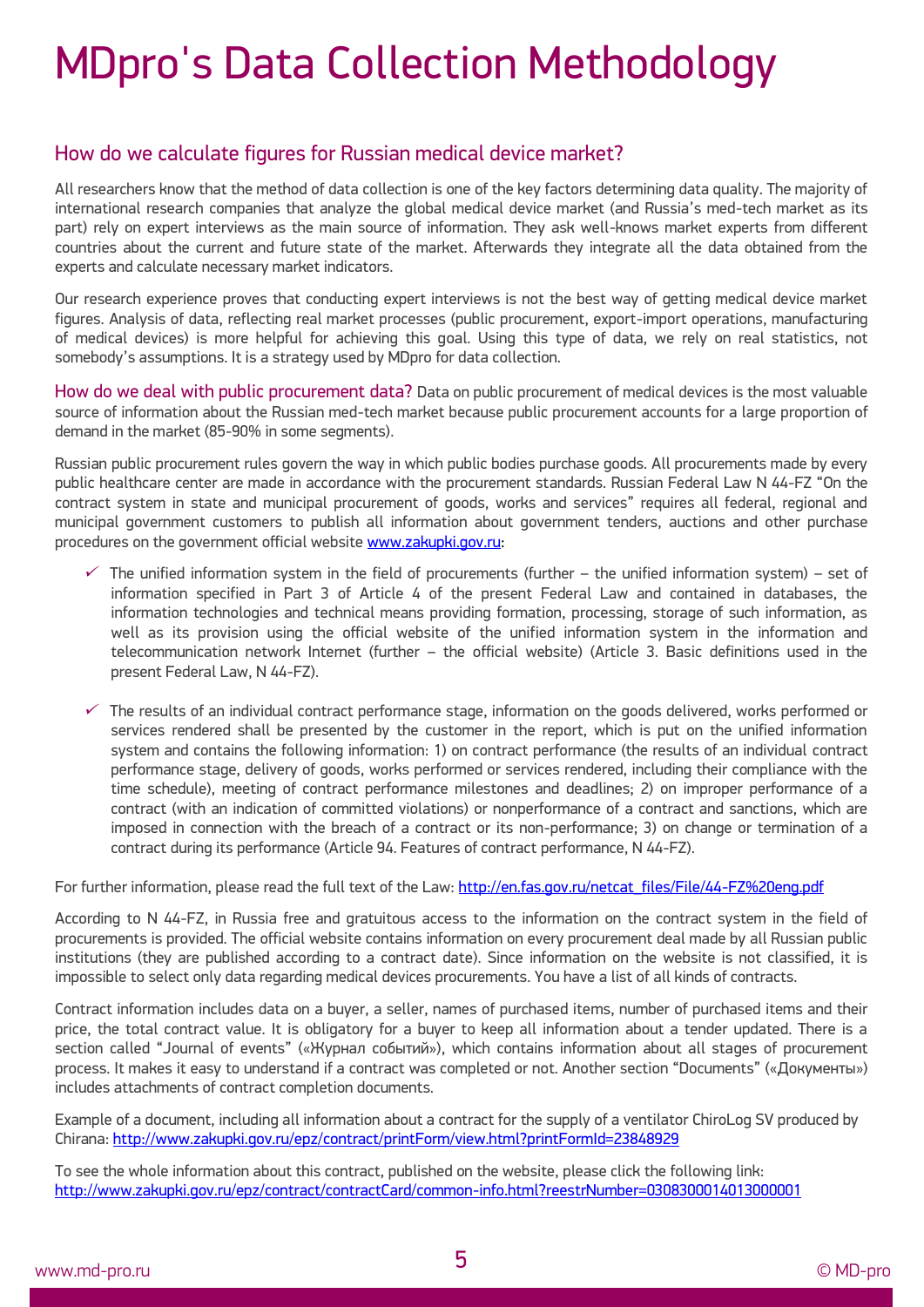# MDpro's Data Collection Methodology

### How do we calculate figures for Russian medical device market?

All researchers know that the method of data collection is one of the key factors determining data quality. The majority of international research companies that analyze the global medical device market (and Russia's med-tech market as its part) rely on expert interviews as the main source of information. They ask well-knows market experts from different countries about the current and future state of the market. Afterwards they integrate all the data obtained from the experts and calculate necessary market indicators.

Our research experience proves that conducting expert interviews is not the best way of getting medical device market figures. Analysis of data, reflecting real market processes (public procurement, export-import operations, manufacturing of medical devices) is more helpful for achieving this goal. Using this type of data, we rely on real statistics, not somebody's assumptions. It is a strategy used by MDpro for data collection.

How do we deal with public procurement data? Data on public procurement of medical devices is the most valuable source of information about the Russian med-tech market because public procurement accounts for a large proportion of demand in the market (85-90% in some segments).

Russian public procurement rules govern the way in which public bodies purchase goods. All procurements made by every public healthcare center are made in accordance with the procurement standards. Russian Federal Law N 44-FZ "On the contract system in state and municipal procurement of goods, works and services" requires all federal, regional and municipal government customers to publish all information about government tenders, auctions and other purchase procedures on the government official websit[e www.zakupki.gov.ru:](http://www.zakupki.gov.ru/)

- ✓ The unified information system in the field of procurements (further – the unified information system) – set of information specified in Part 3 of Article 4 of the present Federal Law and contained in databases, the information technologies and technical means providing formation, processing, storage of such information, as well as its provision using the official website of the unified information system in the information and telecommunication network Internet (further – the official website) (Article 3. Basic definitions used in the present Federal Law, N 44-FZ).
- $\checkmark$  The results of an individual contract performance stage, information on the goods delivered, works performed or services rendered shall be presented by the customer in the report, which is put on the unified information system and contains the following information: 1) on contract performance (the results of an individual contract performance stage, delivery of goods, works performed or services rendered, including their compliance with the time schedule), meeting of contract performance milestones and deadlines; 2) on improper performance of a contract (with an indication of committed violations) or nonperformance of a contract and sanctions, which are imposed in connection with the breach of a contract or its non-performance; 3) on change or termination of a contract during its performance (Article 94. Features of contract performance, N 44-FZ).

For further information, please read the full text of the Law: [http://en.fas.gov.ru/netcat\\_files/File/44-FZ%20eng.pdf](http://en.fas.gov.ru/netcat_files/File/44-FZ%20eng.pdf)

According to N 44-FZ, in Russia free and gratuitous access to the information on the contract system in the field of procurements is provided. The official website contains information on every procurement deal made by all Russian public institutions (they are published according to a contract date). Since information on the website is not classified, it is impossible to select only data regarding medical devices procurements. You have a list of all kinds of contracts.

Contract information includes data on a buyer, a seller, names of purchased items, number of purchased items and their price, the total contract value. It is obligatory for a buyer to keep all information about a tender updated. There is a section called "Journal of events" («Журнал событий»), which contains information about all stages of procurement process. It makes it easy to understand if a contract was completed or not. Another section "Documents" («Документы») includes attachments of contract completion documents.

Example of a document, including all information about a contract for the supply of a ventilator ChiroLog SV produced by Chirana: <http://www.zakupki.gov.ru/epz/contract/printForm/view.html?printFormId=23848929>

To see the whole information about this contract, published on the website, please click the following link: <http://www.zakupki.gov.ru/epz/contract/contractCard/common-info.html?reestrNumber=0308300014013000001>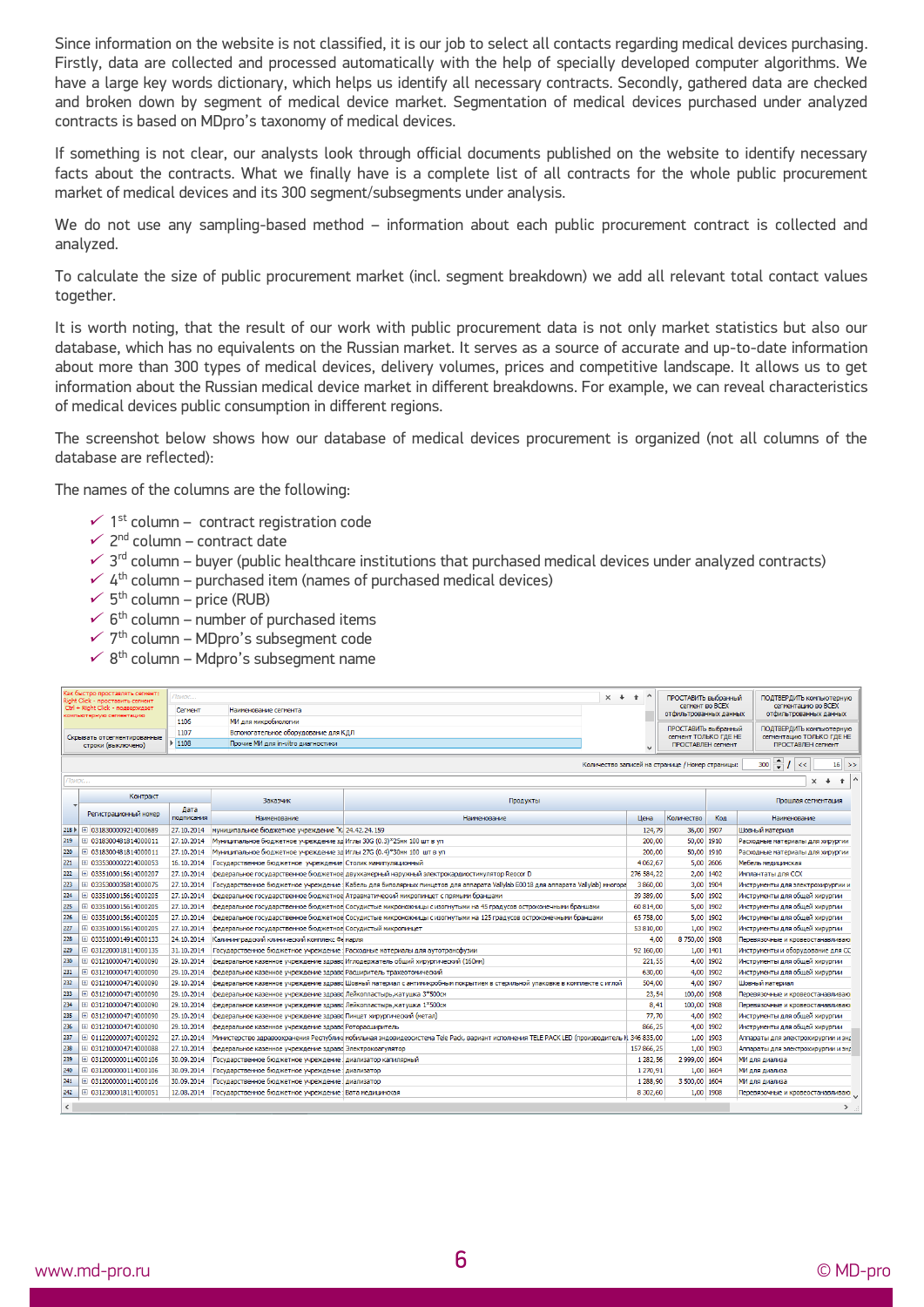Since information on the website is not classified, it is our job to select all contacts regarding medical devices purchasing. Firstly, data are collected and processed automatically with the help of specially developed computer algorithms. We have a large key words dictionary, which helps us identify all necessary contracts. Secondly, gathered data are checked and broken down by segment of medical device market. Segmentation of medical devices purchased under analyzed contracts is based on MDpro's taxonomy of medical devices.

If something is not clear, our analysts look through official documents published on the website to identify necessary facts about the contracts. What we finally have is a complete list of all contracts for the whole public procurement market of medical devices and its 300 segment/subsegments under analysis.

We do not use any sampling-based method – information about each public procurement contract is collected and analyzed.

To calculate the size of public procurement market (incl. segment breakdown) we add all relevant total contact values together.

It is worth noting, that the result of our work with public procurement data is not only market statistics but also our database, which has no equivalents on the Russian market. It serves as a source of accurate and up-to-date information about more than 300 types of medical devices, delivery volumes, prices and competitive landscape. It allows us to get information about the Russian medical device market in different breakdowns. For example, we can reveal characteristics of medical devices public consumption in different regions.

The screenshot below shows how our database of medical devices procurement is organized (not all columns of the database are reflected):

The names of the columns are the following:

- $\checkmark$  1<sup>st</sup> column contract registration code
- $\checkmark$  2<sup>nd</sup> column contract date
- $\checkmark$  3<sup>rd</sup> column buyer (public healthcare institutions that purchased medical devices under analyzed contracts)
- $\sim$  4<sup>th</sup> column purchased item (names of purchased medical devices)
- $\checkmark$  5<sup>th</sup> column price (RUB)
- $\checkmark$  6<sup>th</sup> column number of purchased items
- $\checkmark$  7<sup>th</sup> column MDpro's subsegment code
- $\times$  8<sup>th</sup> column Mdpro's subsegment name

| Как быстро проставлять сегмент:<br>Right Click - проставить сегмент<br>Ctrl + Right Click - подверждает<br>компьютерную сегментацию |                       | Поиск<br>Сегмент                                                 | Наименование сегмента                                                 |                                                                                                                                            | $x + 1$ |                       | ПРОСТАВИТЬ выбранный<br>сегмент во ВСЕХ<br>отфильтрованных данных |                           | ПОДТВЕРДИТЬ компьютерную<br>сегментацию во ВСЕХ<br>отфильтрованных данных |
|-------------------------------------------------------------------------------------------------------------------------------------|-----------------------|------------------------------------------------------------------|-----------------------------------------------------------------------|--------------------------------------------------------------------------------------------------------------------------------------------|---------|-----------------------|-------------------------------------------------------------------|---------------------------|---------------------------------------------------------------------------|
|                                                                                                                                     |                       | МИ для микробиологии<br>1106                                     |                                                                       |                                                                                                                                            |         | ПРОСТАВИТЬ выбранный  |                                                                   | ПОДТВЕРДИТЬ компьютерную  |                                                                           |
| Скрывать отсегментированные<br>строки (выключено)                                                                                   |                       | 1107<br>Вспомогательное оборудование для КДЛ                     |                                                                       |                                                                                                                                            |         | сегмент ТОЛЬКО ГДЕ НЕ |                                                                   | сегментацию ТОЛЬКО ГДЕ НЕ |                                                                           |
|                                                                                                                                     |                       | $\blacktriangleright$ 1108<br>Прочие МИ для in-vitro диагностики |                                                                       |                                                                                                                                            |         | ПРОСТАВЛЕН сегмент    |                                                                   | ПРОСТАВЛЕН сегмент        |                                                                           |
| $300 - 1 <$<br>Количество записей на странице / Номер страницы:<br>$16$ >>                                                          |                       |                                                                  |                                                                       |                                                                                                                                            |         |                       |                                                                   |                           |                                                                           |
| Поиск<br>$\times$<br>$\ddot{\phantom{0}}$<br>$\bullet$                                                                              |                       |                                                                  |                                                                       |                                                                                                                                            |         |                       |                                                                   |                           |                                                                           |
|                                                                                                                                     | Контракт              |                                                                  |                                                                       |                                                                                                                                            |         |                       |                                                                   |                           |                                                                           |
|                                                                                                                                     |                       | Дата                                                             | Заказчик<br>Продукты                                                  |                                                                                                                                            |         |                       |                                                                   |                           | Прошлая сегментация                                                       |
|                                                                                                                                     | Регистрационный номер | подписания                                                       | Наименование                                                          | Наименование                                                                                                                               |         | <b>Цена</b>           | Количество                                                        | Код                       | Наименование                                                              |
| 218                                                                                                                                 | 1 0318300009214000689 | 27.10.2014                                                       | муниципальное бюджетное учреждение "К. 24.42.24.159                   |                                                                                                                                            |         | 124.79                | 36.00 1907                                                        |                           | Шовный материал                                                           |
| 219                                                                                                                                 | 1 0318300481814000011 | 27.10.2014                                                       | Муниципальное бюджетное учреждение зд Иглы 30G (0.3)*25мм 100 шт в уп |                                                                                                                                            |         | 200,00                | 50,00 1910                                                        |                           | Расходные материалы для хирургии                                          |
| 220                                                                                                                                 | 1 0318300481814000011 | 27.10.2014                                                       | Муниципальное бюджетное учреждение зд Иглы 27G (0.4)*30мм 100 шт в уп |                                                                                                                                            |         | 200,00                | 50,00 1910                                                        |                           | Расходные материалы для хирургии                                          |
| 221                                                                                                                                 | Ⅲ 0335300002214000053 | 16.10.2014                                                       | Государственное бюджетное учреждение Столик манипуляционный           |                                                                                                                                            |         | 4062.67               | 5,00 2606                                                         |                           | Мебель медицинская                                                        |
| 222                                                                                                                                 | 1 0335100015614000207 | 27.10.2014                                                       |                                                                       | федеральное государственное бюджетное двухкамерный наружный электрокардиостимулятор Reocor D                                               |         | 276 584,22            | 2.00 1402                                                         |                           | Имплантаты для ССХ                                                        |
| 223                                                                                                                                 | Ⅲ 0335300035814000075 | 27.10.2014                                                       |                                                                       | Государственное бюджетное учреждение : Кабель для биполярных пинцетов для аппарата Vallylab E0018 для аппарата Vallylab) многора           |         | 3860,00               | 3,00 1904                                                         |                           | Инструменты для электрохирургии и                                         |
| 224                                                                                                                                 | 1 0335100015614000205 | 27.10.2014                                                       |                                                                       | федеральное государственное бюджетное Атравматический микропинцет с прямыми браншами                                                       |         | 39 389,00             | 5,00 1902                                                         |                           | Инструменты для общей хирургии                                            |
| 225                                                                                                                                 | 1 0335100015614000205 | 27.10.2014                                                       |                                                                       | федеральное государственное бюджетное Сосудистые микроножницы с изогнутыми на 45 градусов остроконечными браншами                          |         | 60 814.00             | 5.00 1902                                                         |                           | Инструменты для общей хирургии                                            |
| 226                                                                                                                                 | 1 0335100015614000205 | 27.10.2014                                                       |                                                                       | федеральное государственное бюджетное Сосудистые микроножницы с изогнутыми на 125 градусов остроконечными браншами                         |         | 65 758,00             | 5,00 1902                                                         |                           | Инструменты для общей хирургии                                            |
| 227                                                                                                                                 | 1 0335100015614000205 | 27.10.2014                                                       | федеральное государственное бюджетное Сосудистый микропинцет          |                                                                                                                                            |         | 53 810,00             | 1,00 1902                                                         |                           | Инструменты для общей хирургии                                            |
| 228                                                                                                                                 | Ⅲ 0335100014914000133 | 24.10.2014                                                       | Калининградский клинический комплекс Фемарля                          |                                                                                                                                            |         | 4,00                  | 8 750.00 1908                                                     |                           | Перевязочные и кровеостанавливаю                                          |
| 229                                                                                                                                 | 1 0312200018114000135 | 31.10.2014                                                       |                                                                       | Государственное бюджетное учреждение : Расходные материалы для аутотрансфузии                                                              |         | 92 160,00             | 1.00 1401                                                         |                           | Инструменты и оборудование для СС                                         |
| 230                                                                                                                                 | Ⅲ 0312100004714000090 | 29.10.2014                                                       |                                                                       | федеральное казенное учреждение здраво Иглодержатель общий хирургический (160мм)                                                           |         | 221.55                | 4.00 1902                                                         |                           | Инструменты для общей хирургии                                            |
| 231                                                                                                                                 | Ⅲ 0312100004714000090 | 29.10.2014                                                       | федеральное казенное учреждение здраво Расширитель трахеотомический   |                                                                                                                                            |         | 630,00                | 4.00 1902                                                         |                           | Инструменты для общей хирургии                                            |
| 232                                                                                                                                 | Ⅲ 0312100004714000090 | 29.10.2014                                                       |                                                                       | федеральное казенное учреждение здраво Шовный материал с антимикробным покрытием в стерильной упаковке в комплекте с иглой                 |         | 504,00                | 4.00 1907                                                         |                           | Шовный материал                                                           |
| 233                                                                                                                                 | 1 0312100004714000090 | 29.10.2014                                                       | федеральное казенное учреждение здраво Лейкопластырь, катушка 3*500см |                                                                                                                                            |         | 23.54                 | 100.00 1908                                                       |                           | Перевязочные и кровеостанавливаю                                          |
| 234                                                                                                                                 | Ⅲ 0312100004714000090 | 29.10.2014                                                       | федеральное казенное учреждение здраво Лейкопластырь катушка 1*500см  |                                                                                                                                            |         | 8.41                  | 100.00 1908                                                       |                           | Перевязочные и кровеостанавливаю                                          |
| 235                                                                                                                                 | Ⅲ 0312100004714000090 | 29.10.2014                                                       | федеральное казенное учреждение здраво Пинцет хирургический (метал)   |                                                                                                                                            |         | 77,70                 | 4,00 1902                                                         |                           | Инструменты для общей хирургии                                            |
| 236                                                                                                                                 | Ⅲ 0312100004714000090 | 29.10.2014                                                       | федеральное казенное учреждение здраво Роторасширитель                |                                                                                                                                            |         | 866,25                | 4,00 1902                                                         |                           | Инструменты для общей хирургии                                            |
| 237                                                                                                                                 | 1 0112200000714000292 | 27.10.2014                                                       |                                                                       | Министерство здравоохранения Республикі мобильная эндовидеосистема Tele Pack, вариант исполнения TELE PACK LED (производитель № 346 835,00 |         |                       | 1.00 1903                                                         |                           | Аппараты для электрохирургии и энд                                        |
| 238                                                                                                                                 | Ⅲ 0312100004714000088 | 27.10.2014                                                       | федеральное казенное учреждение здраво Электрокоагулятор              |                                                                                                                                            |         | 157 866,25            | 1,00 1903                                                         |                           | Аппараты для электрохирургии и энд                                        |
| 239                                                                                                                                 | 1 0312000000114000106 | 30.09.2014                                                       | Государственное бюджетное учреждение : диализатор капилярный          |                                                                                                                                            |         | 1 282,56              | 2 999.00 1604                                                     |                           | МИ для диализа                                                            |
| 240                                                                                                                                 | 1 0312000000114000106 | 30.09.2014                                                       | Государственное бюджетное учреждение : диализатор                     |                                                                                                                                            |         | 1270.91               | 1.00 1604                                                         |                           | МИ для диализа                                                            |
| 241                                                                                                                                 | 1 0312000000114000106 | 30.09.2014                                                       | Государственное бюджетное учреждение : диализатор                     |                                                                                                                                            |         | 1 288,90              | 3 500,00 1604                                                     |                           | МИ для диализа                                                            |
| 242                                                                                                                                 | Ⅲ 0312300018114000051 | 12.08.2014                                                       | Государственное бюджетное учреждение : Вата медицинская               |                                                                                                                                            |         | 8 302,60              | 1.00 1908                                                         |                           | Перевязочные и кровеостанавливаю                                          |
| $\hat{~}$                                                                                                                           |                       |                                                                  |                                                                       |                                                                                                                                            |         |                       |                                                                   |                           | $\rightarrow$                                                             |